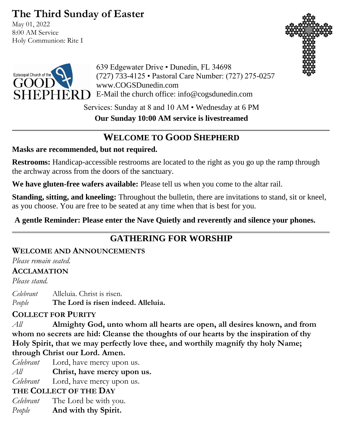# **The Third Sunday of Easter**

May 01, 2022 8:00 AM Service Holy Communion: Rite I





639 Edgewater Drive • Dunedin, FL 34698 (727) 733-4125 • Pastoral Care Number: (727) 275-0257 www.COGSDunedin.com E-Mail the church office: info@cogsdunedin.com

Services: Sunday at 8 and 10 AM • Wednesday at 6 PM

**Our Sunday 10:00 AM service is livestreamed**

# **WELCOME TO GOOD SHEPHERD**

# **Masks are recommended, but not required.**

**Restrooms:** Handicap-accessible restrooms are located to the right as you go up the ramp through the archway across from the doors of the sanctuary.

**We have gluten-free wafers available:** Please tell us when you come to the altar rail.

**Standing, sitting, and kneeling:** Throughout the bulletin, there are invitations to stand, sit or kneel, as you choose. You are free to be seated at any time when that is best for you.

**A gentle Reminder: Please enter the Nave Quietly and reverently and silence your phones.**

# **GATHERING FOR WORSHIP**

# **WELCOME AND ANNOUNCEMENTS**

*Please remain seated.*

# **ACCLAMATION**

*Please stand.*

*Celebrant* Alleluia. Christ is risen. *People* **The Lord is risen indeed. Alleluia.**

# **COLLECT FOR PURITY**

*All* **Almighty God, unto whom all hearts are open, all desires known, and from whom no secrets are hid: Cleanse the thoughts of our hearts by the inspiration of thy Holy Spirit, that we may perfectly love thee, and worthily magnify thy holy Name; through Christ our Lord. Amen.**

- *Celebrant* Lord, have mercy upon us.
- *All* **Christ, have mercy upon us.**
- *Celebrant* Lord, have mercy upon us.

# **THE COLLECT OF THE DAY**

- *Celebrant* The Lord be with you.
- *People* **And with thy Spirit.**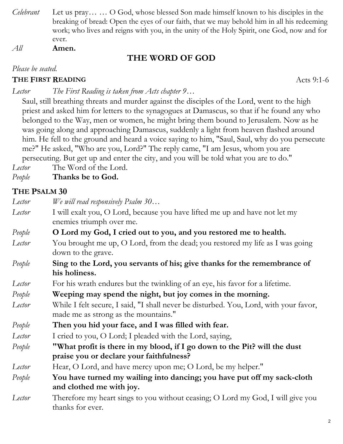*Celebrant* Let us pray… … O God, whose blessed Son made himself known to his disciples in the breaking of bread: Open the eyes of our faith, that we may behold him in all his redeeming work; who lives and reigns with you, in the unity of the Holy Spirit, one God, now and for ever.

*All* **Amen.**

# **THE WORD OF GOD**

*Please be seated.*

# **THE FIRST READING** Acts 9:1-6

*Lector The First Reading is taken from Acts chapter 9…*

Saul, still breathing threats and murder against the disciples of the Lord, went to the high priest and asked him for letters to the synagogues at Damascus, so that if he found any who belonged to the Way, men or women, he might bring them bound to Jerusalem. Now as he was going along and approaching Damascus, suddenly a light from heaven flashed around him. He fell to the ground and heard a voice saying to him, "Saul, Saul, why do you persecute me?" He asked, "Who are you, Lord?" The reply came, "I am Jesus, whom you are persecuting. But get up and enter the city, and you will be told what you are to do."

*Lector* The Word of the Lord.

*People* **Thanks be to God.**

# **THE PSALM 30**

*Lector We will read responsively Psalm 30… Lector* I will exalt you, O Lord, because you have lifted me up and have not let my enemies triumph over me. *People* **O Lord my God, I cried out to you, and you restored me to health.** *Lector* You brought me up, O Lord, from the dead; you restored my life as I was going down to the grave. *People* **Sing to the Lord, you servants of his; give thanks for the remembrance of his holiness.** *Lector* For his wrath endures but the twinkling of an eye, his favor for a lifetime. *People* **Weeping may spend the night, but joy comes in the morning.** *Lector* While I felt secure, I said, "I shall never be disturbed. You, Lord, with your favor, made me as strong as the mountains." *People* **Then you hid your face, and I was filled with fear.** *Lector* I cried to you, O Lord; I pleaded with the Lord, saying, *People* **"What profit is there in my blood, if I go down to the Pit? will the dust praise you or declare your faithfulness?** *Lector* Hear, O Lord, and have mercy upon me; O Lord, be my helper." *People* **You have turned my wailing into dancing; you have put off my sack-cloth and clothed me with joy.** *Lector* Therefore my heart sings to you without ceasing; O Lord my God, I will give you thanks for ever.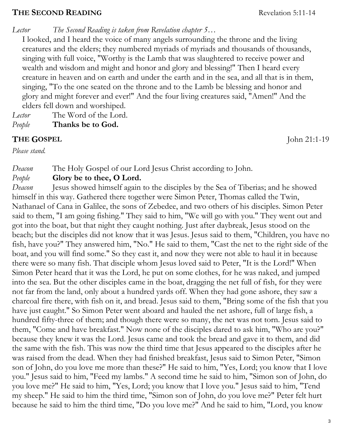### **THE SECOND READING**

*Lector The Second Reading is taken from Revelation chapter 5…*

I looked, and I heard the voice of many angels surrounding the throne and the living creatures and the elders; they numbered myriads of myriads and thousands of thousands, singing with full voice, "Worthy is the Lamb that was slaughtered to receive power and wealth and wisdom and might and honor and glory and blessing!" Then I heard every creature in heaven and on earth and under the earth and in the sea, and all that is in them, singing, "To the one seated on the throne and to the Lamb be blessing and honor and glory and might forever and ever!" And the four living creatures said, "Amen!" And the elders fell down and worshiped.

*Lector* The Word of the Lord. *People* **Thanks be to God.**

#### **THE GOSPEL** John 21:1-19

*Please stand.*

# *Deacon* The Holy Gospel of our Lord Jesus Christ according to John.

#### *People* **Glory be to thee, O Lord.**

*Deacon* Jesus showed himself again to the disciples by the Sea of Tiberias; and he showed himself in this way. Gathered there together were Simon Peter, Thomas called the Twin, Nathanael of Cana in Galilee, the sons of Zebedee, and two others of his disciples. Simon Peter said to them, "I am going fishing." They said to him, "We will go with you." They went out and got into the boat, but that night they caught nothing. Just after daybreak, Jesus stood on the beach; but the disciples did not know that it was Jesus. Jesus said to them, "Children, you have no fish, have you?" They answered him, "No." He said to them, "Cast the net to the right side of the boat, and you will find some." So they cast it, and now they were not able to haul it in because there were so many fish. That disciple whom Jesus loved said to Peter, "It is the Lord!" When Simon Peter heard that it was the Lord, he put on some clothes, for he was naked, and jumped into the sea. But the other disciples came in the boat, dragging the net full of fish, for they were not far from the land, only about a hundred yards off. When they had gone ashore, they saw a charcoal fire there, with fish on it, and bread. Jesus said to them, "Bring some of the fish that you have just caught." So Simon Peter went aboard and hauled the net ashore, full of large fish, a hundred fifty-three of them; and though there were so many, the net was not torn. Jesus said to them, "Come and have breakfast." Now none of the disciples dared to ask him, "Who are you?" because they knew it was the Lord. Jesus came and took the bread and gave it to them, and did the same with the fish. This was now the third time that Jesus appeared to the disciples after he was raised from the dead. When they had finished breakfast, Jesus said to Simon Peter, "Simon son of John, do you love me more than these?" He said to him, "Yes, Lord; you know that I love you." Jesus said to him, "Feed my lambs." A second time he said to him, "Simon son of John, do you love me?" He said to him, "Yes, Lord; you know that I love you." Jesus said to him, "Tend my sheep." He said to him the third time, "Simon son of John, do you love me?" Peter felt hurt because he said to him the third time, "Do you love me?" And he said to him, "Lord, you know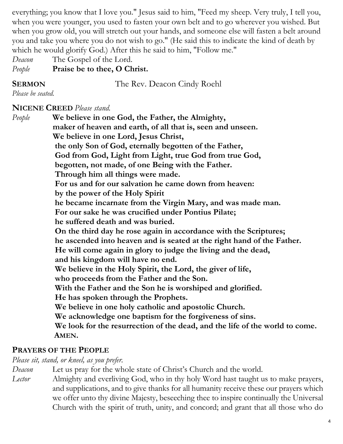everything; you know that I love you." Jesus said to him, "Feed my sheep. Very truly, I tell you, when you were younger, you used to fasten your own belt and to go wherever you wished. But when you grow old, you will stretch out your hands, and someone else will fasten a belt around you and take you where you do not wish to go." (He said this to indicate the kind of death by which he would glorify God.) After this he said to him, "Follow me."

*Deacon* The Gospel of the Lord.

*People* **Praise be to thee, O Christ.**

**SERMON** The Rev. Deacon Cindy Roehl

*Please be seated.*

#### **NICENE CREED** *Please stand.*

*People* **We believe in one God, the Father, the Almighty, maker of heaven and earth, of all that is, seen and unseen. We believe in one Lord, Jesus Christ, the only Son of God, eternally begotten of the Father, God from God, Light from Light, true God from true God, begotten, not made, of one Being with the Father. Through him all things were made. For us and for our salvation he came down from heaven: by the power of the Holy Spirit he became incarnate from the Virgin Mary, and was made man. For our sake he was crucified under Pontius Pilate; he suffered death and was buried. On the third day he rose again in accordance with the Scriptures; he ascended into heaven and is seated at the right hand of the Father. He will come again in glory to judge the living and the dead, and his kingdom will have no end. We believe in the Holy Spirit, the Lord, the giver of life, who proceeds from the Father and the Son. With the Father and the Son he is worshiped and glorified. He has spoken through the Prophets. We believe in one holy catholic and apostolic Church. We acknowledge one baptism for the forgiveness of sins. We look for the resurrection of the dead, and the life of the world to come. AMEN.**

## **PRAYERS OF THE PEOPLE**

*Please sit, stand, or kneel, as you prefer.*

*Deacon* Let us pray for the whole state of Christ's Church and the world.

*Lector* Almighty and everliving God, who in thy holy Word hast taught us to make prayers, and supplications, and to give thanks for all humanity receive these our prayers which we offer unto thy divine Majesty, beseeching thee to inspire continually the Universal Church with the spirit of truth, unity, and concord; and grant that all those who do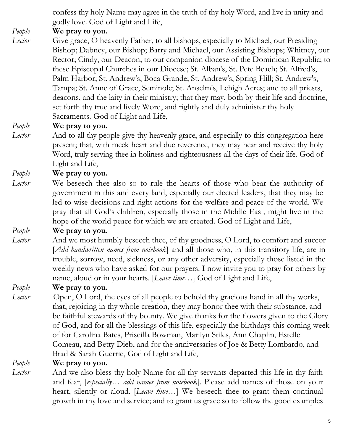confess thy holy Name may agree in the truth of thy holy Word, and live in unity and godly love. God of Light and Life,

# *People* **We pray to you.**

*Lector* Give grace, O heavenly Father, to all bishops, especially to Michael, our Presiding Bishop; Dabney, our Bishop; Barry and Michael, our Assisting Bishops; Whitney, our Rector; Cindy, our Deacon; to our companion diocese of the Dominican Republic; to these Episcopal Churches in our Diocese; St. Alban's, St. Pete Beach; St. Alfred's, Palm Harbor; St. Andrew's, Boca Grande; St. Andrew's, Spring Hill; St. Andrew's, Tampa; St. Anne of Grace, Seminole; St. Anselm's, Lehigh Acres; and to all priests, deacons, and the laity in their ministry; that they may, both by their life and doctrine, set forth thy true and lively Word, and rightly and duly administer thy holy Sacraments. God of Light and Life,

# *People* **We pray to you.**

*Lector* And to all thy people give thy heavenly grace, and especially to this congregation here present; that, with meek heart and due reverence, they may hear and receive thy holy Word, truly serving thee in holiness and righteousness all the days of their life. God of Light and Life,

# *People* **We pray to you.**

*Lector* We beseech thee also so to rule the hearts of those who bear the authority of government in this and every land, especially our elected leaders, that they may be led to wise decisions and right actions for the welfare and peace of the world. We pray that all God's children, especially those in the Middle East, might live in the hope of the world peace for which we are created. God of Light and Life,

# *People* **We pray to you.**

*Lector* And we most humbly beseech thee, of thy goodness, O Lord, to comfort and succor [*Add handwritten names from notebook*] and all those who, in this transitory life, are in trouble, sorrow, need, sickness, or any other adversity, especially those listed in the weekly news who have asked for our prayers. I now invite you to pray for others by name, aloud or in your hearts. [*Leave time…*] God of Light and Life,

# *People* **We pray to you.**

*Lector* Open, O Lord, the eyes of all people to behold thy gracious hand in all thy works, that, rejoicing in thy whole creation, they may honor thee with their substance, and be faithful stewards of thy bounty. We give thanks for the flowers given to the Glory of God, and for all the blessings of this life, especially the birthdays this coming week of for Carolina Bates, Priscilla Bowman, Marilyn Stiles, Ann Chaplin, Estelle Comeau, and Betty Dieb, and for the anniversaries of Joe & Betty Lombardo, and Brad & Sarah Guerrie, God of Light and Life,

# *People* **We pray to you.**

*Lector* And we also bless thy holy Name for all thy servants departed this life in thy faith and fear, [*especially… add names from notebook*]. Please add names of those on your heart, silently or aloud. [*Leave time…*] We beseech thee to grant them continual growth in thy love and service; and to grant us grace so to follow the good examples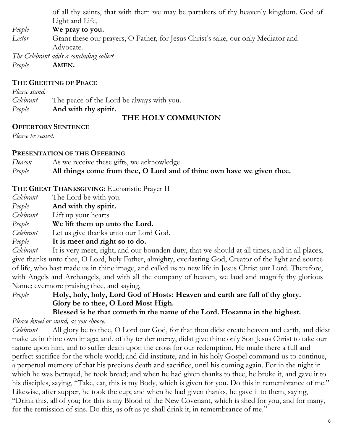of all thy saints, that with them we may be partakers of thy heavenly kingdom. God of Light and Life,

*People* **We pray to you.**

*Lector* Grant these our prayers, O Father, for Jesus Christ's sake, our only Mediator and Advocate.

*The Celebrant adds a concluding collect. People* **AMEN.**

### **THE GREETING OF PEACE**

*Please stand. Celebrant* The peace of the Lord be always with you. *People* **And with thy spirit.**

## **THE HOLY COMMUNION**

#### **OFFERTORY SENTENCE**

*Please be seated.*

#### **PRESENTATION OF THE OFFERING**

| Deacon | As we receive these gifts, we acknowledge                              |
|--------|------------------------------------------------------------------------|
| People | All things come from thee, O Lord and of thine own have we given thee. |

#### **THE GREAT THANKSGIVING:** Eucharistic Prayer II

- *Celebrant* The Lord be with you.
- *People* **And with thy spirit.**
- *Celebrant* Lift up your hearts.
- *People* **We lift them up unto the Lord.**

*Celebrant* Let us give thanks unto our Lord God.

*People* **It is meet and right so to do.**

*Celebrant* It is very meet, right, and our bounden duty, that we should at all times, and in all places, give thanks unto thee, O Lord, holy Father, almighty, everlasting God, Creator of the light and source of life, who hast made us in thine image, and called us to new life in Jesus Christ our Lord. Therefore, with Angels and Archangels, and with all the company of heaven, we laud and magnify thy glorious Name; evermore praising thee, and saying,

*People* **Holy, holy, holy, Lord God of Hosts: Heaven and earth are full of thy glory. Glory be to thee, O Lord Most High.** 

# **Blessed is he that cometh in the name of the Lord. Hosanna in the highest.**

*Please kneel or stand, as you choose.*

*Celebrant* All glory be to thee, O Lord our God, for that thou didst create heaven and earth, and didst make us in thine own image; and, of thy tender mercy, didst give thine only Son Jesus Christ to take our nature upon him, and to suffer death upon the cross for our redemption. He made there a full and perfect sacrifice for the whole world; and did institute, and in his holy Gospel command us to continue, a perpetual memory of that his precious death and sacrifice, until his coming again. For in the night in which he was betrayed, he took bread; and when he had given thanks to thee, he broke it, and gave it to his disciples, saying, "Take, eat, this is my Body, which is given for you. Do this in remembrance of me." Likewise, after supper, he took the cup; and when he had given thanks, he gave it to them, saying, "Drink this, all of you; for this is my Blood of the New Covenant, which is shed for you, and for many, for the remission of sins. Do this, as oft as ye shall drink it, in remembrance of me."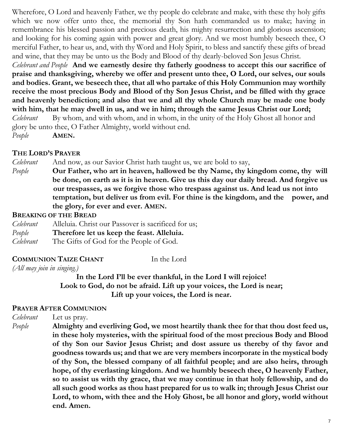Wherefore, O Lord and heavenly Father, we thy people do celebrate and make, with these thy holy gifts which we now offer unto thee, the memorial thy Son hath commanded us to make; having in remembrance his blessed passion and precious death, his mighty resurrection and glorious ascension; and looking for his coming again with power and great glory. And we most humbly beseech thee, O merciful Father, to hear us, and, with thy Word and Holy Spirit, to bless and sanctify these gifts of bread and wine, that they may be unto us the Body and Blood of thy dearly-beloved Son Jesus Christ.

*Celebrant and People* **And we earnestly desire thy fatherly goodness to accept this our sacrifice of praise and thanksgiving, whereby we offer and present unto thee, O Lord, our selves, our souls and bodies. Grant, we beseech thee, that all who partake of this Holy Communion may worthily receive the most precious Body and Blood of thy Son Jesus Christ, and be filled with thy grace and heavenly benediction; and also that we and all thy whole Church may be made one body**  with him, that he may dwell in us, and we in him; through the same Jesus Christ our Lord; *Celebrant* By whom, and with whom, and in whom, in the unity of the Holy Ghost all honor and glory be unto thee, O Father Almighty, world without end. *People* **AMEN.**

#### **THE LORD'S PRAYER**

*Celebrant* And now, as our Savior Christ hath taught us, we are bold to say,

*People* **Our Father, who art in heaven, hallowed be thy Name, thy kingdom come, thy will be done, on earth as it is in heaven. Give us this day our daily bread. And forgive us our trespasses, as we forgive those who trespass against us. And lead us not into temptation, but deliver us from evil. For thine is the kingdom, and the power, and the glory, for ever and ever. AMEN.**

#### **BREAKING OF THE BREAD**

- *Celebrant* Alleluia. Christ our Passover is sacrificed for us; *People* **Therefore let us keep the feast. Alleluia.**
- *Celebrant* The Gifts of God for the People of God.

#### **COMMUNION TAIZE CHANT** In the Lord

*(All may join in singing.)*

**In the Lord I'll be ever thankful, in the Lord I will rejoice! Look to God, do not be afraid. Lift up your voices, the Lord is near; Lift up your voices, the Lord is near.**

#### **PRAYER AFTER COMMUNION**

*Celebrant* Let us pray.

*People* **Almighty and everliving God, we most heartily thank thee for that thou dost feed us, in these holy mysteries, with the spiritual food of the most precious Body and Blood of thy Son our Savior Jesus Christ; and dost assure us thereby of thy favor and goodness towards us; and that we are very members incorporate in the mystical body of thy Son, the blessed company of all faithful people; and are also heirs, through hope, of thy everlasting kingdom. And we humbly beseech thee, O heavenly Father, so to assist us with thy grace, that we may continue in that holy fellowship, and do all such good works as thou hast prepared for us to walk in; through Jesus Christ our Lord, to whom, with thee and the Holy Ghost, be all honor and glory, world without end. Amen.**